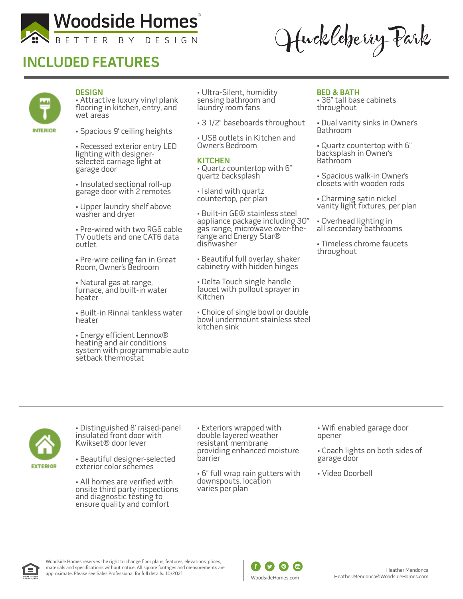

# **INCLUDED FEATURES**

Huckleberry Park



### **DESIGN**

• Attractive luxury vinyl plank flooring in kitchen, entry, and wet areas

• Spacious 9' ceiling heights

• Recessed exterior entry LED lighting with designerselected carriage light at garage door

• Insulated sectional roll-up garage door with 2 remotes

• Upper laundry shelf above washer and dryer

• Pre-wired with two RG6 cable TV outlets and one CAT6 data outlet

• Pre-wire ceiling fan in Great Room, Owner's Bedroom

• Natural gas at range, furnace, and built-in water heater

• Built-in Rinnai tankless water heater

• Energy efficient Lennox® heating and air conditions system with programmable auto setback thermostat

• Ultra-Silent, humidity sensing bathroom and laundry room fans

• 3 1/2" baseboards throughout

• USB outlets in Kitchen and Owner's Bedroom

#### **KITCHEN**

• Quartz countertop with 6" quartz backsplash

• Island with quartz countertop, per plan

• Built-in GE® stainless steel appliance package including 30" gas range, microwave over-therange and Energy Star® dishwasher

• Beautiful full overlay, shaker cabinetry with hidden hinges

• Delta Touch single handle faucet with pullout sprayer in Kitchen

• Choice of single bowl or double bowl undermount stainless steel kitchen sink

#### **BED & BATH**

• 36" tall base cabinets throughout

• Dual vanity sinks in Owner's Bathroom

• Quartz countertop with 6" backsplash in Owner's **Bathroom** 

• Spacious walk-in Owner's closets with wooden rods

• Charming satin nickel vanity light fixtures, per plan

• Overhead lighting in all secondary bathrooms

• Timeless chrome faucets throughout



• Distinguished 8' raised-panel insulated front door with Kwikset® door lever

• Beautiful designer-selected exterior color schemes

• All homes are verified with onsite third party inspections and diagnostic testing to ensure quality and comfort

• Exteriors wrapped with double layered weather resistant membrane providing enhanced moisture barrier

• 6" full wrap rain gutters with downspouts, location varies per plan

• Wifi enabled garage door opener

• Coach lights on both sides of garage door

• Video Doorbell